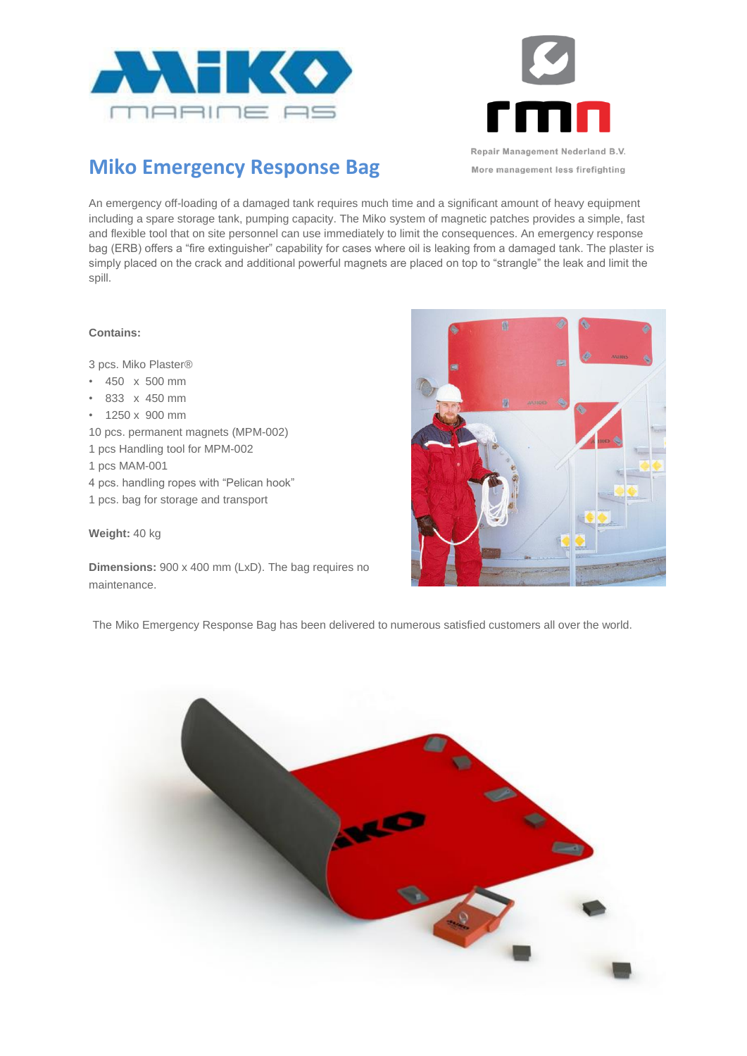



More management less firefighting

## **Miko Emergency Response Bag**

An emergency off-loading of a damaged tank requires much time and a significant amount of heavy equipment including a spare storage tank, pumping capacity. The Miko system of magnetic patches provides a simple, fast and flexible tool that on site personnel can use immediately to limit the consequences. An emergency response bag (ERB) offers a "fire extinguisher" capability for cases where oil is leaking from a damaged tank. The plaster is simply placed on the crack and additional powerful magnets are placed on top to "strangle" the leak and limit the spill.

## **Contains:**

3 pcs. Miko Plaster®

- 450 x 500 mm
- 833 x 450 mm
- 1250 x 900 mm
- 10 pcs. permanent magnets (MPM-002)
- 1 pcs Handling tool for MPM-002
- 1 pcs MAM-001
- 4 pcs. handling ropes with "Pelican hook"
- 1 pcs. bag for storage and transport

## **Weight:** 40 kg

**Dimensions:** 900 x 400 mm (LxD). The bag requires no maintenance.



The Miko Emergency Response Bag has been delivered to numerous satisfied customers all over the world.